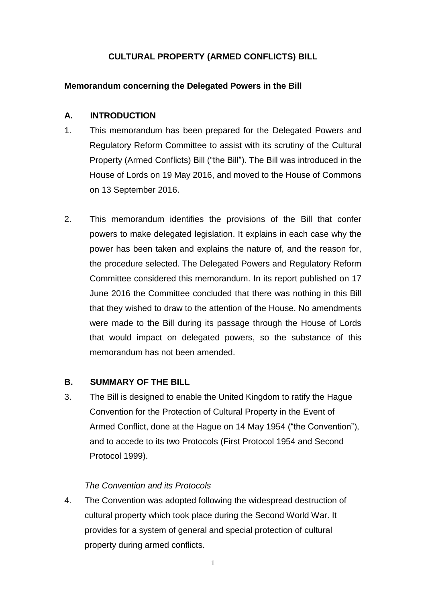# **CULTURAL PROPERTY (ARMED CONFLICTS) BILL**

#### **Memorandum concerning the Delegated Powers in the Bill**

#### **A. INTRODUCTION**

- 1. This memorandum has been prepared for the Delegated Powers and Regulatory Reform Committee to assist with its scrutiny of the Cultural Property (Armed Conflicts) Bill ("the Bill"). The Bill was introduced in the House of Lords on 19 May 2016, and moved to the House of Commons on 13 September 2016.
- 2. This memorandum identifies the provisions of the Bill that confer powers to make delegated legislation. It explains in each case why the power has been taken and explains the nature of, and the reason for, the procedure selected. The Delegated Powers and Regulatory Reform Committee considered this memorandum. In its report published on 17 June 2016 the Committee concluded that there was nothing in this Bill that they wished to draw to the attention of the House. No amendments were made to the Bill during its passage through the House of Lords that would impact on delegated powers, so the substance of this memorandum has not been amended.

#### **B. SUMMARY OF THE BILL**

3. The Bill is designed to enable the United Kingdom to ratify the Hague Convention for the Protection of Cultural Property in the Event of Armed Conflict, done at the Hague on 14 May 1954 ("the Convention"), and to accede to its two Protocols (First Protocol 1954 and Second Protocol 1999).

# *The Convention and its Protocols*

4. The Convention was adopted following the widespread destruction of cultural property which took place during the Second World War. It provides for a system of general and special protection of cultural property during armed conflicts.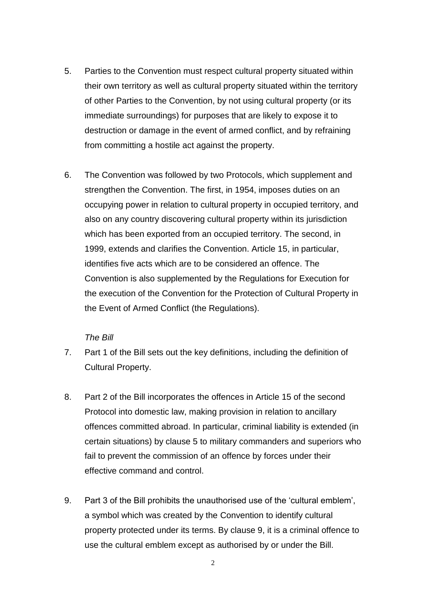- 5. Parties to the Convention must respect cultural property situated within their own territory as well as cultural property situated within the territory of other Parties to the Convention, by not using cultural property (or its immediate surroundings) for purposes that are likely to expose it to destruction or damage in the event of armed conflict, and by refraining from committing a hostile act against the property.
- 6. The Convention was followed by two Protocols, which supplement and strengthen the Convention. The first, in 1954, imposes duties on an occupying power in relation to cultural property in occupied territory, and also on any country discovering cultural property within its jurisdiction which has been exported from an occupied territory. The second, in 1999, extends and clarifies the Convention. Article 15, in particular, identifies five acts which are to be considered an offence. The Convention is also supplemented by the Regulations for Execution for the execution of the Convention for the Protection of Cultural Property in the Event of Armed Conflict (the Regulations).

#### *The Bill*

- 7. Part 1 of the Bill sets out the key definitions, including the definition of Cultural Property.
- 8. Part 2 of the Bill incorporates the offences in Article 15 of the second Protocol into domestic law, making provision in relation to ancillary offences committed abroad. In particular, criminal liability is extended (in certain situations) by clause 5 to military commanders and superiors who fail to prevent the commission of an offence by forces under their effective command and control.
- 9. Part 3 of the Bill prohibits the unauthorised use of the 'cultural emblem', a symbol which was created by the Convention to identify cultural property protected under its terms. By clause 9, it is a criminal offence to use the cultural emblem except as authorised by or under the Bill.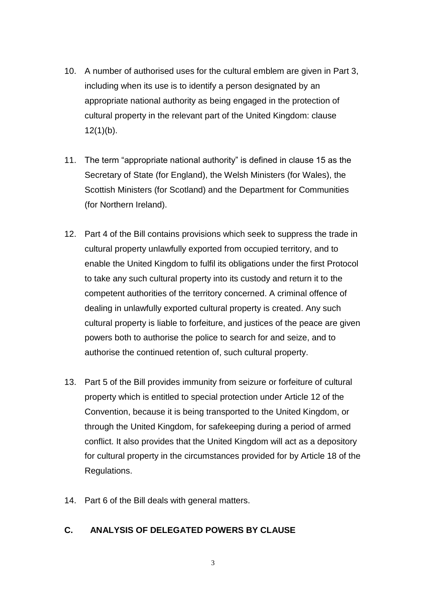- 10. A number of authorised uses for the cultural emblem are given in Part 3, including when its use is to identify a person designated by an appropriate national authority as being engaged in the protection of cultural property in the relevant part of the United Kingdom: clause  $12(1)(b)$ .
- 11. The term "appropriate national authority" is defined in clause 15 as the Secretary of State (for England), the Welsh Ministers (for Wales), the Scottish Ministers (for Scotland) and the Department for Communities (for Northern Ireland).
- 12. Part 4 of the Bill contains provisions which seek to suppress the trade in cultural property unlawfully exported from occupied territory, and to enable the United Kingdom to fulfil its obligations under the first Protocol to take any such cultural property into its custody and return it to the competent authorities of the territory concerned. A criminal offence of dealing in unlawfully exported cultural property is created. Any such cultural property is liable to forfeiture, and justices of the peace are given powers both to authorise the police to search for and seize, and to authorise the continued retention of, such cultural property.
- 13. Part 5 of the Bill provides immunity from seizure or forfeiture of cultural property which is entitled to special protection under Article 12 of the Convention, because it is being transported to the United Kingdom, or through the United Kingdom, for safekeeping during a period of armed conflict. It also provides that the United Kingdom will act as a depository for cultural property in the circumstances provided for by Article 18 of the Regulations.
- 14. Part 6 of the Bill deals with general matters.

# **C. ANALYSIS OF DELEGATED POWERS BY CLAUSE**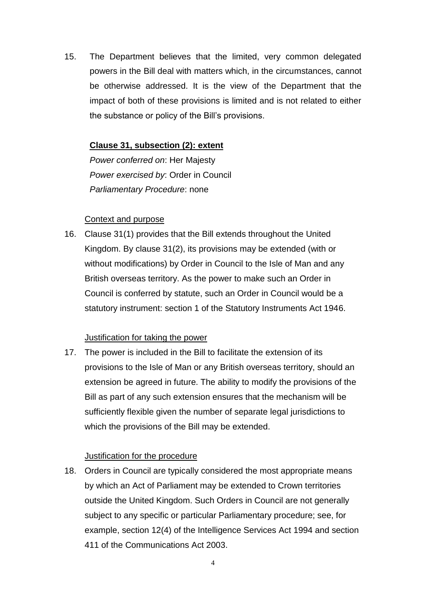15. The Department believes that the limited, very common delegated powers in the Bill deal with matters which, in the circumstances, cannot be otherwise addressed. It is the view of the Department that the impact of both of these provisions is limited and is not related to either the substance or policy of the Bill's provisions.

## **Clause 31, subsection (2): extent**

*Power conferred on*: Her Majesty *Power exercised by*: Order in Council *Parliamentary Procedure*: none

#### Context and purpose

16. Clause 31(1) provides that the Bill extends throughout the United Kingdom. By clause 31(2), its provisions may be extended (with or without modifications) by Order in Council to the Isle of Man and any British overseas territory. As the power to make such an Order in Council is conferred by statute, such an Order in Council would be a statutory instrument: section 1 of the Statutory Instruments Act 1946.

# Justification for taking the power

17. The power is included in the Bill to facilitate the extension of its provisions to the Isle of Man or any British overseas territory, should an extension be agreed in future. The ability to modify the provisions of the Bill as part of any such extension ensures that the mechanism will be sufficiently flexible given the number of separate legal jurisdictions to which the provisions of the Bill may be extended.

#### Justification for the procedure

18. Orders in Council are typically considered the most appropriate means by which an Act of Parliament may be extended to Crown territories outside the United Kingdom. Such Orders in Council are not generally subject to any specific or particular Parliamentary procedure; see, for example, section 12(4) of the Intelligence Services Act 1994 and section 411 of the Communications Act 2003.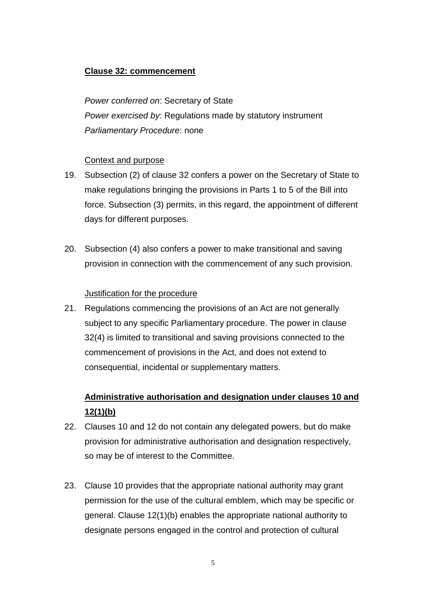# **Clause 32: commencement**

*Power conferred on*: Secretary of State *Power exercised by*: Regulations made by statutory instrument *Parliamentary Procedure*: none

#### Context and purpose

- 19. Subsection (2) of clause 32 confers a power on the Secretary of State to make regulations bringing the provisions in Parts 1 to 5 of the Bill into force. Subsection (3) permits, in this regard, the appointment of different days for different purposes.
- 20. Subsection (4) also confers a power to make transitional and saving provision in connection with the commencement of any such provision.

#### Justification for the procedure

21. Regulations commencing the provisions of an Act are not generally subject to any specific Parliamentary procedure. The power in clause 32(4) is limited to transitional and saving provisions connected to the commencement of provisions in the Act, and does not extend to consequential, incidental or supplementary matters.

# **Administrative authorisation and designation under clauses 10 and 12(1)(b)**

- 22. Clauses 10 and 12 do not contain any delegated powers, but do make provision for administrative authorisation and designation respectively, so may be of interest to the Committee.
- 23. Clause 10 provides that the appropriate national authority may grant permission for the use of the cultural emblem, which may be specific or general. Clause 12(1)(b) enables the appropriate national authority to designate persons engaged in the control and protection of cultural